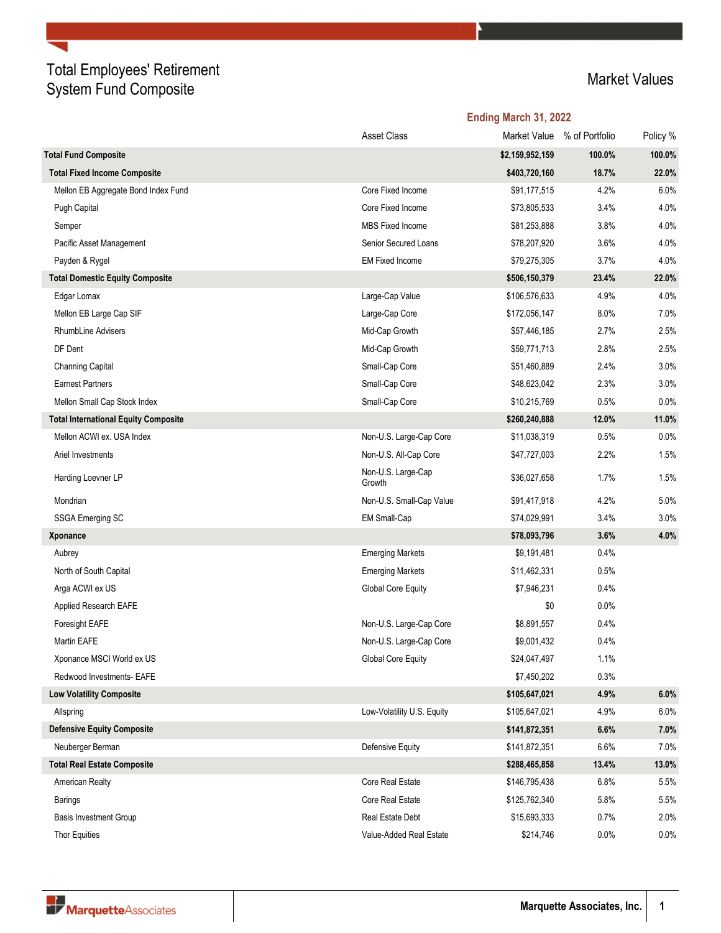## Total Employees' Retirement Total Employees Teaterment<br>System Fund Composite Market Values

|                                             |                              | Ending March 31, 2022 |                |          |  |
|---------------------------------------------|------------------------------|-----------------------|----------------|----------|--|
|                                             | <b>Asset Class</b>           | Market Value          | % of Portfolio | Policy % |  |
| <b>Total Fund Composite</b>                 |                              | \$2,159,952,159       | 100.0%         | 100.0%   |  |
| <b>Total Fixed Income Composite</b>         |                              | \$403,720,160         | 18.7%          | 22.0%    |  |
| Mellon EB Aggregate Bond Index Fund         | Core Fixed Income            | \$91,177,515          | 4.2%           | 6.0%     |  |
| Pugh Capital                                | Core Fixed Income            | \$73,805,533          | 3.4%           | 4.0%     |  |
| Semper                                      | <b>MBS Fixed Income</b>      | \$81,253,888          | 3.8%           | 4.0%     |  |
| Pacific Asset Management                    | Senior Secured Loans         | \$78,207,920          | 3.6%           | 4.0%     |  |
| Payden & Rygel                              | <b>EM Fixed Income</b>       | \$79,275,305          | 3.7%           | 4.0%     |  |
| <b>Total Domestic Equity Composite</b>      |                              | \$506,150,379         | 23.4%          | 22.0%    |  |
| Edgar Lomax                                 | Large-Cap Value              | \$106,576,633         | 4.9%           | 4.0%     |  |
| Mellon EB Large Cap SIF                     | Large-Cap Core               | \$172,056,147         | 8.0%           | 7.0%     |  |
| <b>RhumbLine Advisers</b>                   | Mid-Cap Growth               | \$57,446,185          | 2.7%           | 2.5%     |  |
| DF Dent                                     | Mid-Cap Growth               | \$59,771,713          | 2.8%           | 2.5%     |  |
| Channing Capital                            | Small-Cap Core               | \$51,460,889          | 2.4%           | 3.0%     |  |
| <b>Earnest Partners</b>                     | Small-Cap Core               | \$48,623,042          | 2.3%           | 3.0%     |  |
| Mellon Small Cap Stock Index                | Small-Cap Core               | \$10,215,769          | 0.5%           | 0.0%     |  |
| <b>Total International Equity Composite</b> |                              | \$260,240,888         | 12.0%          | 11.0%    |  |
| Mellon ACWI ex. USA Index                   | Non-U.S. Large-Cap Core      | \$11,038,319          | 0.5%           | 0.0%     |  |
| Ariel Investments                           | Non-U.S. All-Cap Core        | \$47,727,003          | 2.2%           | 1.5%     |  |
| Harding Loevner LP                          | Non-U.S. Large-Cap<br>Growth | \$36,027,658          | 1.7%           | 1.5%     |  |
| Mondrian                                    | Non-U.S. Small-Cap Value     | \$91,417,918          | 4.2%           | 5.0%     |  |
| <b>SSGA Emerging SC</b>                     | EM Small-Cap                 | \$74,029,991          | 3.4%           | 3.0%     |  |
| Xponance                                    |                              | \$78,093,796          | 3.6%           | 4.0%     |  |
| Aubrey                                      | <b>Emerging Markets</b>      | \$9,191,481           | 0.4%           |          |  |
| North of South Capital                      | <b>Emerging Markets</b>      | \$11,462,331          | 0.5%           |          |  |
| Arga ACWI ex US                             | Global Core Equity           | \$7,946,231           | 0.4%           |          |  |
| Applied Research EAFE                       |                              | \$0                   | 0.0%           |          |  |
| <b>Foresight EAFE</b>                       | Non-U.S. Large-Cap Core      | \$8,891,557           | 0.4%           |          |  |
| Martin EAFE                                 | Non-U.S. Large-Cap Core      | \$9,001,432           | 0.4%           |          |  |
| Xponance MSCI World ex US                   | Global Core Equity           | \$24,047,497          | 1.1%           |          |  |
| Redwood Investments- EAFE                   |                              | \$7,450,202           | 0.3%           |          |  |
| <b>Low Volatility Composite</b>             |                              | \$105,647,021         | 4.9%           | 6.0%     |  |
| Allspring                                   | Low-Volatility U.S. Equity   | \$105,647,021         | 4.9%           | 6.0%     |  |
| <b>Defensive Equity Composite</b>           |                              | \$141,872,351         | 6.6%           | 7.0%     |  |
| Neuberger Berman                            | Defensive Equity             | \$141,872,351         | 6.6%           | 7.0%     |  |
| <b>Total Real Estate Composite</b>          |                              | \$288,465,858         | 13.4%          | 13.0%    |  |
| American Realty                             | Core Real Estate             | \$146,795,438         | 6.8%           | 5.5%     |  |
| <b>Barings</b>                              | Core Real Estate             | \$125,762,340         | 5.8%           | 5.5%     |  |
| <b>Basis Investment Group</b>               | Real Estate Debt             | \$15,693,333          | 0.7%           | 2.0%     |  |
| Thor Equities                               | Value-Added Real Estate      | \$214,746             | 0.0%           | 0.0%     |  |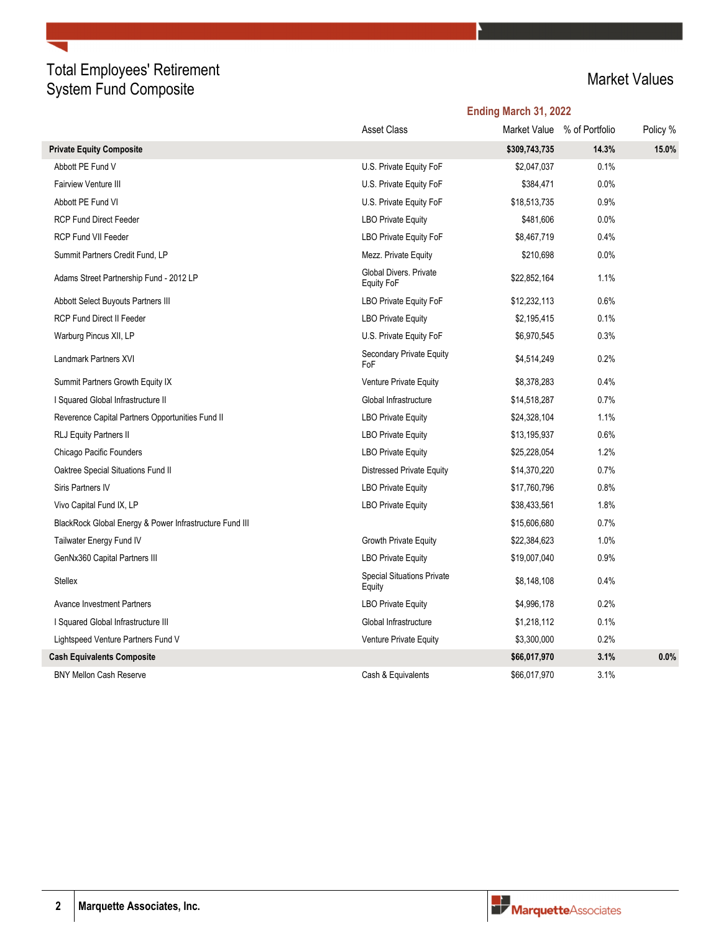## Total Employees' Retirement Total Employees Teaterment<br>System Fund Composite Market Values

|                                                         |                                             | Ending March 31, 2022 |                             |          |  |
|---------------------------------------------------------|---------------------------------------------|-----------------------|-----------------------------|----------|--|
|                                                         | <b>Asset Class</b>                          |                       | Market Value % of Portfolio | Policy % |  |
| <b>Private Equity Composite</b>                         |                                             | \$309,743,735         | 14.3%                       | 15.0%    |  |
| Abbott PE Fund V                                        | U.S. Private Equity FoF                     | \$2,047,037           | 0.1%                        |          |  |
| <b>Fairview Venture III</b>                             | U.S. Private Equity FoF                     | \$384,471             | 0.0%                        |          |  |
| Abbott PE Fund VI                                       | U.S. Private Equity FoF                     | \$18,513,735          | 0.9%                        |          |  |
| <b>RCP Fund Direct Feeder</b>                           | <b>LBO Private Equity</b>                   | \$481,606             | 0.0%                        |          |  |
| <b>RCP Fund VII Feeder</b>                              | <b>LBO Private Equity FoF</b>               | \$8,467,719           | 0.4%                        |          |  |
| Summit Partners Credit Fund, LP                         | Mezz. Private Equity                        | \$210,698             | 0.0%                        |          |  |
| Adams Street Partnership Fund - 2012 LP                 | Global Divers. Private<br>Equity FoF        | \$22,852,164          | 1.1%                        |          |  |
| Abbott Select Buyouts Partners III                      | <b>LBO Private Equity FoF</b>               | \$12,232,113          | 0.6%                        |          |  |
| <b>RCP Fund Direct II Feeder</b>                        | <b>LBO Private Equity</b>                   | \$2,195,415           | 0.1%                        |          |  |
| Warburg Pincus XII, LP                                  | U.S. Private Equity FoF                     | \$6,970,545           | 0.3%                        |          |  |
| Landmark Partners XVI                                   | Secondary Private Equity<br>FoF             | \$4,514,249           | 0.2%                        |          |  |
| Summit Partners Growth Equity IX                        | Venture Private Equity                      | \$8,378,283           | 0.4%                        |          |  |
| I Squared Global Infrastructure II                      | Global Infrastructure                       | \$14,518,287          | 0.7%                        |          |  |
| Reverence Capital Partners Opportunities Fund II        | <b>LBO Private Equity</b>                   | \$24,328,104          | 1.1%                        |          |  |
| RLJ Equity Partners II                                  | <b>LBO Private Equity</b>                   | \$13,195,937          | 0.6%                        |          |  |
| Chicago Pacific Founders                                | <b>LBO Private Equity</b>                   | \$25,228,054          | 1.2%                        |          |  |
| Oaktree Special Situations Fund II                      | Distressed Private Equity                   | \$14,370,220          | 0.7%                        |          |  |
| Siris Partners IV                                       | <b>LBO Private Equity</b>                   | \$17,760,796          | 0.8%                        |          |  |
| Vivo Capital Fund IX, LP                                | <b>LBO Private Equity</b>                   | \$38,433,561          | 1.8%                        |          |  |
| BlackRock Global Energy & Power Infrastructure Fund III |                                             | \$15,606,680          | 0.7%                        |          |  |
| Tailwater Energy Fund IV                                | Growth Private Equity                       | \$22,384,623          | 1.0%                        |          |  |
| GenNx360 Capital Partners III                           | <b>LBO Private Equity</b>                   | \$19,007,040          | 0.9%                        |          |  |
| <b>Stellex</b>                                          | <b>Special Situations Private</b><br>Equity | \$8,148,108           | 0.4%                        |          |  |
| <b>Avance Investment Partners</b>                       | <b>LBO Private Equity</b>                   | \$4,996,178           | 0.2%                        |          |  |
| I Squared Global Infrastructure III                     | Global Infrastructure                       | \$1,218,112           | 0.1%                        |          |  |
| Lightspeed Venture Partners Fund V                      | Venture Private Equity                      | \$3,300,000           | 0.2%                        |          |  |
| <b>Cash Equivalents Composite</b>                       |                                             | \$66,017,970          | 3.1%                        | 0.0%     |  |
| <b>BNY Mellon Cash Reserve</b>                          | Cash & Equivalents                          | \$66,017,970          | 3.1%                        |          |  |